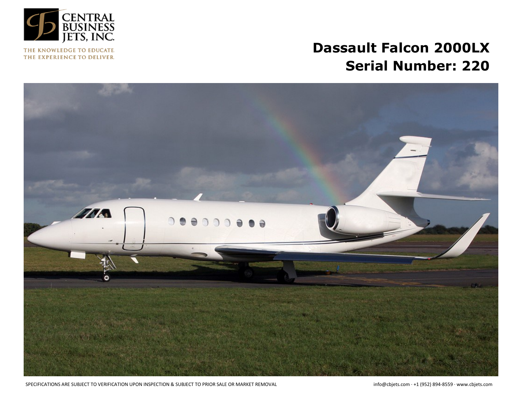

THE KNOWLEDGE TO EDUCATE. THE EXPERIENCE TO DELIVER.

# **Dassault Falcon 2000LX Serial Number: 220**



SPECIFICATIONS ARE SUBJECT TO VERIFICATION UPON INSPECTION & SUBJECT TO PRIOR SALE OR MARKET REMOVAL info@cbjets.com · +1 (952) 894-8559 · www.cbjets.com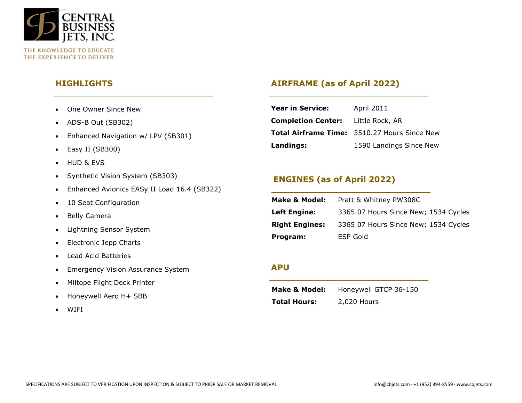

**HIGHLIGHTS**

- One Owner Since New
- ADS-B Out (SB302)
- Enhanced Navigation w/ LPV (SB301)
- Easy II (SB300)
- HUD & EVS
- Synthetic Vision System (SB303)
- Enhanced Avionics EASy II Load 16.4 (SB322)
- 10 Seat Configuration
- Belly Camera
- Lightning Sensor System
- Electronic Jepp Charts
- Lead Acid Batteries
- Emergency Vision Assurance System
- Miltope Flight Deck Printer
- Honeywell Aero H+ SBB
- WIFI

## **AIRFRAME (as of April 2022)**

| <b>Year in Service:</b>                   | April 2011                                          |
|-------------------------------------------|-----------------------------------------------------|
| <b>Completion Center:</b> Little Rock, AR |                                                     |
|                                           | <b>Total Airframe Time:</b> 3510.27 Hours Since New |
| Landings:                                 | 1590 Landings Since New                             |

# **ENGINES (as of April 2022)**

| Make & Model:         | Pratt & Whitney PW308C               |
|-----------------------|--------------------------------------|
| <b>Left Engine:</b>   | 3365.07 Hours Since New; 1534 Cycles |
| <b>Right Engines:</b> | 3365.07 Hours Since New; 1534 Cycles |
| Program:              | ESP Gold                             |

#### **APU**

| <b>Make &amp; Model:</b> | Honeywell GTCP 36-150 |
|--------------------------|-----------------------|
| <b>Total Hours:</b>      | 2,020 Hours           |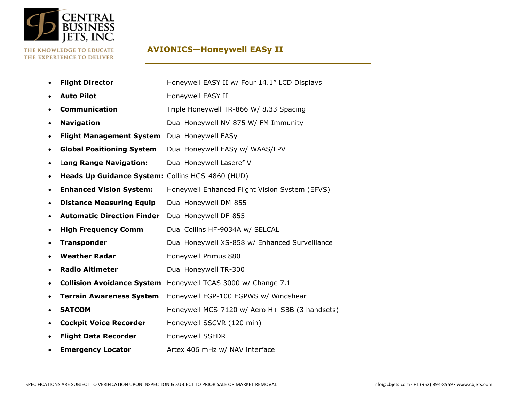

#### THE KNOWLEDGE TO EDUCATE. THE EXPERIENCE TO DELIVER.

# **AVIONICS—Honeywell EASy II**

|           | <b>Flight Director</b>                           | Honeywell EASY II w/ Four 14.1" LCD Displays   |
|-----------|--------------------------------------------------|------------------------------------------------|
|           | <b>Auto Pilot</b>                                | Honeywell EASY II                              |
|           | <b>Communication</b>                             | Triple Honeywell TR-866 W/ 8.33 Spacing        |
| ٠         | <b>Navigation</b>                                | Dual Honeywell NV-875 W/ FM Immunity           |
|           | <b>Flight Management System</b>                  | Dual Honeywell EASy                            |
| ٠         | <b>Global Positioning System</b>                 | Dual Honeywell EASy w/ WAAS/LPV                |
| ٠         | Long Range Navigation:                           | Dual Honeywell Laseref V                       |
| ٠         | Heads Up Guidance System: Collins HGS-4860 (HUD) |                                                |
| $\bullet$ | <b>Enhanced Vision System:</b>                   | Honeywell Enhanced Flight Vision System (EFVS) |
| ٠         | <b>Distance Measuring Equip</b>                  | Dual Honeywell DM-855                          |
| ٠         | <b>Automatic Direction Finder</b>                | Dual Honeywell DF-855                          |
| ٠         | <b>High Frequency Comm</b>                       | Dual Collins HF-9034A w/ SELCAL                |
| ٠         | <b>Transponder</b>                               | Dual Honeywell XS-858 w/ Enhanced Surveillance |
|           | <b>Weather Radar</b>                             | Honeywell Primus 880                           |
|           | <b>Radio Altimeter</b>                           | Dual Honeywell TR-300                          |
| ٠         | <b>Collision Avoidance System</b>                | Honeywell TCAS 3000 w/ Change 7.1              |
|           | <b>Terrain Awareness System</b>                  | Honeywell EGP-100 EGPWS w/ Windshear           |
| $\bullet$ | <b>SATCOM</b>                                    | Honeywell MCS-7120 w/ Aero H+ SBB (3 handsets) |
|           | <b>Cockpit Voice Recorder</b>                    | Honeywell SSCVR (120 min)                      |
| ٠         | <b>Flight Data Recorder</b>                      | Honeywell SSFDR                                |
|           | <b>Emergency Locator</b>                         | Artex 406 mHz w/ NAV interface                 |